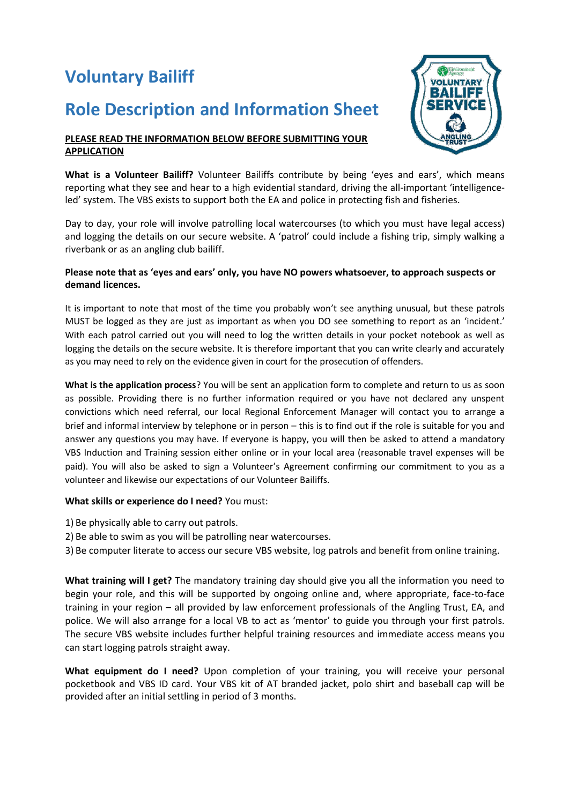# **Voluntary Bailiff**

## **Role Description and Information Sheet**



#### **PLEASE READ THE INFORMATION BELOW BEFORE SUBMITTING YOUR APPLICATION**

**What is a Volunteer Bailiff?** Volunteer Bailiffs contribute by being 'eyes and ears', which means reporting what they see and hear to a high evidential standard, driving the all-important 'intelligenceled' system. The VBS exists to support both the EA and police in protecting fish and fisheries.

Day to day, your role will involve patrolling local watercourses (to which you must have legal access) and logging the details on our secure website. A 'patrol' could include a fishing trip, simply walking a riverbank or as an angling club bailiff.

#### **Please note that as 'eyes and ears' only, you have NO powers whatsoever, to approach suspects or demand licences.**

It is important to note that most of the time you probably won't see anything unusual, but these patrols MUST be logged as they are just as important as when you DO see something to report as an 'incident.' With each patrol carried out you will need to log the written details in your pocket notebook as well as logging the details on the secure website. It is therefore important that you can write clearly and accurately as you may need to rely on the evidence given in court for the prosecution of offenders.

**What is the application process**? You will be sent an application form to complete and return to us as soon as possible. Providing there is no further information required or you have not declared any unspent convictions which need referral, our local Regional Enforcement Manager will contact you to arrange a brief and informal interview by telephone or in person – this is to find out if the role is suitable for you and answer any questions you may have. If everyone is happy, you will then be asked to attend a mandatory VBS Induction and Training session either online or in your local area (reasonable travel expenses will be paid). You will also be asked to sign a Volunteer's Agreement confirming our commitment to you as a volunteer and likewise our expectations of our Volunteer Bailiffs.

### **What skills or experience do I need?** You must:

- 1) Be physically able to carry out patrols.
- 2) Be able to swim as you will be patrolling near watercourses.
- 3) Be computer literate to access our secure VBS website, log patrols and benefit from online training.

**What training will I get?** The mandatory training day should give you all the information you need to begin your role, and this will be supported by ongoing online and, where appropriate, face-to-face training in your region – all provided by law enforcement professionals of the Angling Trust, EA, and police. We will also arrange for a local VB to act as 'mentor' to guide you through your first patrols. The secure VBS website includes further helpful training resources and immediate access means you can start logging patrols straight away.

**What equipment do I need?** Upon completion of your training, you will receive your personal pocketbook and VBS ID card. Your VBS kit of AT branded jacket, polo shirt and baseball cap will be provided after an initial settling in period of 3 months.